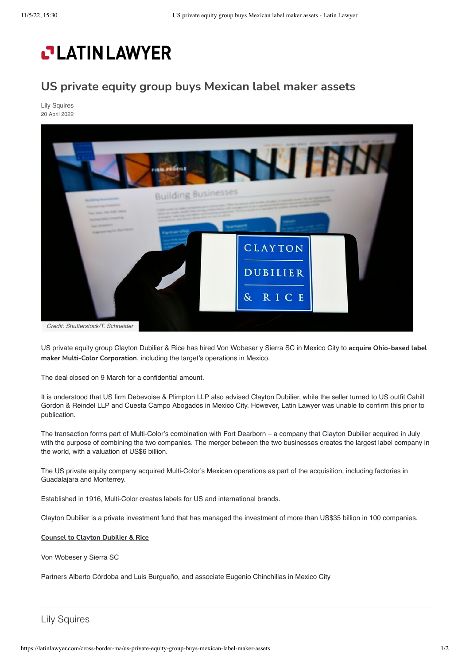## **PLATINLAWYER**

## **US private equity group buys Mexican label maker assets**

[Lily Squires](https://latinlawyer.com/authors/lily-squires) 20 April 2022



US private equity group Clayton Dubilier & Rice has hired Von Wobeser y Sierra SC in Mexico City to **acquire Ohio-based label maker Multi-Color Corporation**, including the target's operations in Mexico.

The deal closed on 9 March for a confidential amount.

It is understood that US firm Debevoise & Plimpton LLP also advised Clayton Dubilier, while the seller turned to US outfit Cahill Gordon & Reindel LLP and Cuesta Campo Abogados in Mexico City. However, Latin Lawyer was unable to confirm this prior to publication.

The transaction forms part of Multi-Color's combination with Fort Dearborn – a company that Clayton Dubilier acquired in July with the purpose of combining the two companies. The merger between the two businesses creates the largest label company in the world, with a valuation of US\$6 billion.

The US private equity company acquired Multi-Color's Mexican operations as part of the acquisition, including factories in Guadalajara and Monterrey.

Established in 1916, Multi-Color creates labels for US and international brands.

Clayton Dubilier is a private investment fund that has managed the investment of more than US\$35 billion in 100 companies.

## **Counsel to Clayton Dubilier & Rice**

Von Wobeser y Sierra SC

Partners Alberto Córdoba and Luis Burgueño, and associate Eugenio Chinchillas in Mexico City

Lily Squires